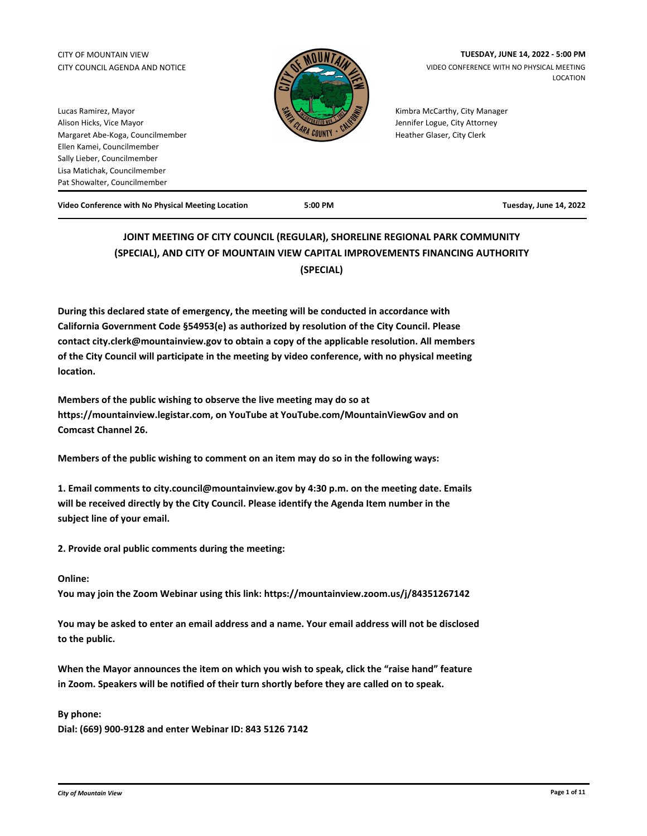# CITY COUNCIL AGENDA AND NOTICE



CITY OF MOUNTAIN VIEW **TUESDAY, JUNE 14, 2022 - 5:00 PM**  VIDEO CONFERENCE WITH NO PHYSICAL MEETING LOCATION

> Kimbra McCarthy, City Manager Jennifer Logue, City Attorney Heather Glaser, City Clerk

Lucas Ramirez, Mayor Alison Hicks, Vice Mayor Margaret Abe-Koga, Councilmember Ellen Kamei, Councilmember Sally Lieber, Councilmember Lisa Matichak, Councilmember Pat Showalter, Councilmember

**Video Conference with No Physical Meeting Location 5:00 PM Tuesday, June 14, 2022**

## **JOINT MEETING OF CITY COUNCIL (REGULAR), SHORELINE REGIONAL PARK COMMUNITY (SPECIAL), AND CITY OF MOUNTAIN VIEW CAPITAL IMPROVEMENTS FINANCING AUTHORITY (SPECIAL)**

**During this declared state of emergency, the meeting will be conducted in accordance with California Government Code §54953(e) as authorized by resolution of the City Council. Please contact city.clerk@mountainview.gov to obtain a copy of the applicable resolution. All members of the City Council will participate in the meeting by video conference, with no physical meeting location.**

**Members of the public wishing to observe the live meeting may do so at https://mountainview.legistar.com, on YouTube at YouTube.com/MountainViewGov and on Comcast Channel 26.**

**Members of the public wishing to comment on an item may do so in the following ways:** 

**1. Email comments to city.council@mountainview.gov by 4:30 p.m. on the meeting date. Emails will be received directly by the City Council. Please identify the Agenda Item number in the subject line of your email.** 

**2. Provide oral public comments during the meeting:** 

### **Online:**

**You may join the Zoom Webinar using this link: https://mountainview.zoom.us/j/84351267142**

**You may be asked to enter an email address and a name. Your email address will not be disclosed to the public.** 

**When the Mayor announces the item on which you wish to speak, click the "raise hand" feature in Zoom. Speakers will be notified of their turn shortly before they are called on to speak.**

### **By phone:**

**Dial: (669) 900-9128 and enter Webinar ID: 843 5126 7142**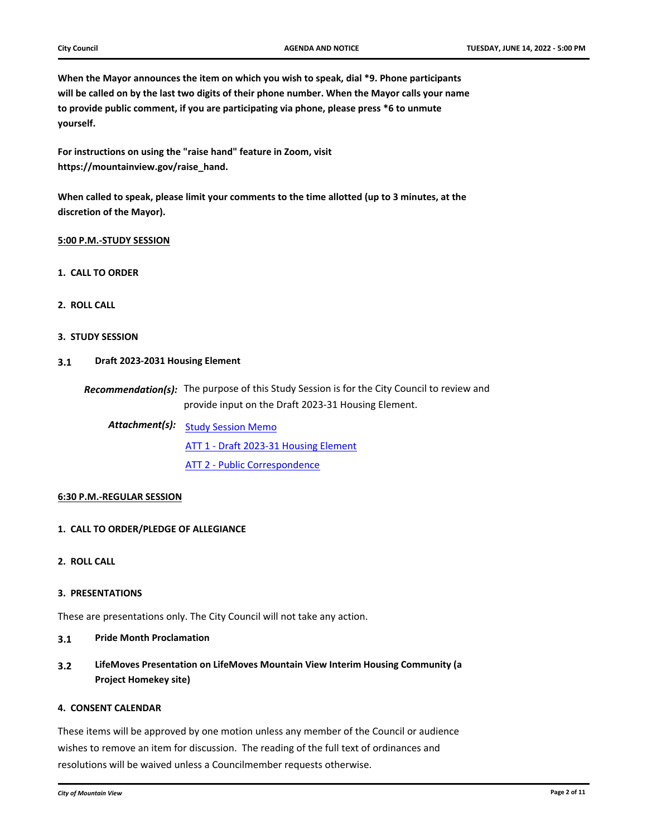**When the Mayor announces the item on which you wish to speak, dial \*9. Phone participants will be called on by the last two digits of their phone number. When the Mayor calls your name to provide public comment, if you are participating via phone, please press \*6 to unmute yourself.**

**For instructions on using the "raise hand" feature in Zoom, visit https://mountainview.gov/raise\_hand.**

**When called to speak, please limit your comments to the time allotted (up to 3 minutes, at the discretion of the Mayor).**

#### **5:00 P.M.-STUDY SESSION**

- **1. CALL TO ORDER**
- **2. ROLL CALL**
- **3. STUDY SESSION**

#### **3.1 [Draft 2023-2031 Housing Element](http://mountainview.legistar.com/gateway.aspx?m=l&id=6088)**

Recommendation(s): The purpose of this Study Session is for the City Council to review and provide input on the Draft 2023-31 Housing Element.

Attachment(s): study Session Memo

[ATT 1 - Draft 2023-31 Housing Element](http://mountainview.legistar.com/gateway.aspx?M=F&ID=e7f86516-8f8e-4ed4-ac8c-54eea33c8762.pdf) [ATT 2 - Public Correspondence](http://mountainview.legistar.com/gateway.aspx?M=F&ID=2e607422-0969-4986-aedc-726a3105d611.pdf)

#### **6:30 P.M.-REGULAR SESSION**

#### **1. CALL TO ORDER/PLEDGE OF ALLEGIANCE**

**2. ROLL CALL**

#### **3. PRESENTATIONS**

These are presentations only. The City Council will not take any action.

- **3.1 [Pride Month Proclamation](http://mountainview.legistar.com/gateway.aspx?m=l&id=6256)**
- **3.2 [LifeMoves Presentation on LifeMoves Mountain View Interim Housing Community \(a](http://mountainview.legistar.com/gateway.aspx?m=l&id=6462)  Project Homekey site)**

## **4. CONSENT CALENDAR**

These items will be approved by one motion unless any member of the Council or audience wishes to remove an item for discussion. The reading of the full text of ordinances and resolutions will be waived unless a Councilmember requests otherwise.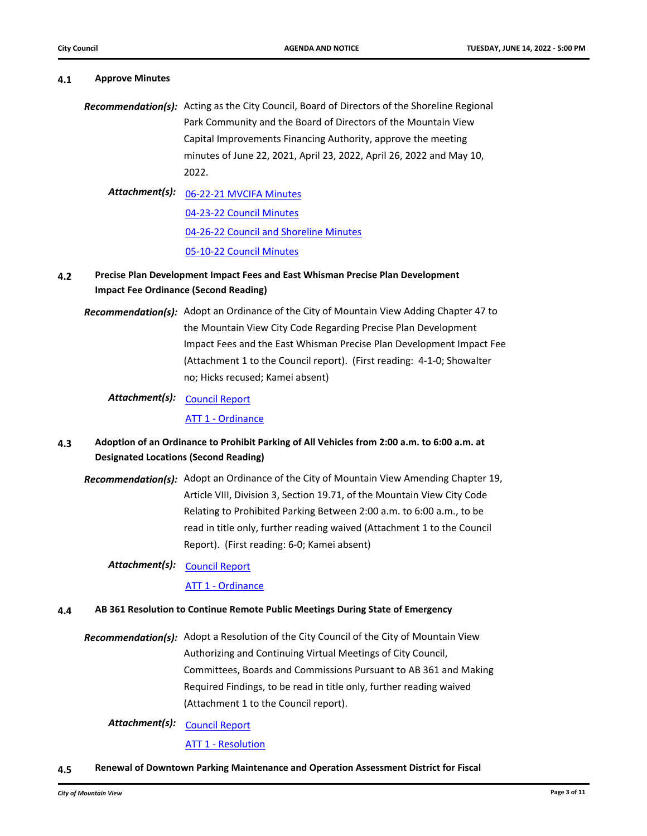**4.1 [Approve Minutes](http://mountainview.legistar.com/gateway.aspx?m=l&id=6342)**

# Recommendation(s): Acting as the City Council, Board of Directors of the Shoreline Regional Park Community and the Board of Directors of the Mountain View Capital Improvements Financing Authority, approve the meeting minutes of June 22, 2021, April 23, 2022, April 26, 2022 and May 10, 2022. [06-22-21 MVCIFA Minutes](http://mountainview.legistar.com/gateway.aspx?M=F&ID=22127ba2-4947-42d7-894e-0f8ca7f01f6a.pdf) *Attachment(s):* [04-23-22 Council Minutes](http://mountainview.legistar.com/gateway.aspx?M=F&ID=3b2e5fc2-83f7-4270-b7b6-933783bf2b14.pdf) [04-26-22 Council and Shoreline Minutes](http://mountainview.legistar.com/gateway.aspx?M=F&ID=edfd070d-e8f7-450a-bfe5-6b1b019c1e56.pdf) [05-10-22 Council Minutes](http://mountainview.legistar.com/gateway.aspx?M=F&ID=a602a329-3f7b-4bf5-9404-39f1dd7f9498.pdf) **4.2 [Precise Plan Development Impact Fees and East Whisman Precise Plan Development](http://mountainview.legistar.com/gateway.aspx?m=l&id=6494)  Impact Fee Ordinance (Second Reading)** Recommendation(s): Adopt an Ordinance of the City of Mountain View Adding Chapter 47 to

the Mountain View City Code Regarding Precise Plan Development Impact Fees and the East Whisman Precise Plan Development Impact Fee (Attachment 1 to the Council report). (First reading: 4-1-0; Showalter no; Hicks recused; Kamei absent)

## Attachment(s): <u>[Council Report](http://mountainview.legistar.com/gateway.aspx?M=F&ID=eb2677d4-8b9f-421c-8882-c2eedd1ead1c.pdf)</u>

[ATT 1 - Ordinance](http://mountainview.legistar.com/gateway.aspx?M=F&ID=335efe99-952c-43f2-9811-540354546cf8.pdf)

## **4.3 [Adoption of an Ordinance to Prohibit Parking of All Vehicles from 2:00 a.m. to 6:00 a.m. at](http://mountainview.legistar.com/gateway.aspx?m=l&id=6542)  Designated Locations (Second Reading)**

Recommendation(s): Adopt an Ordinance of the City of Mountain View Amending Chapter 19, Article VIII, Division 3, Section 19.71, of the Mountain View City Code Relating to Prohibited Parking Between 2:00 a.m. to 6:00 a.m., to be read in title only, further reading waived (Attachment 1 to the Council Report). (First reading: 6-0; Kamei absent)

## Attachment(s): <u>[Council Report](http://mountainview.legistar.com/gateway.aspx?M=F&ID=59fc93fe-9aab-45fc-aa37-cefc04259d8c.pdf)</u>

[ATT 1 - Ordinance](http://mountainview.legistar.com/gateway.aspx?M=F&ID=dffa5ef3-22ba-4fc7-ade8-f6f92101ab32.pdf)

## **4.4 [AB 361 Resolution to Continue Remote Public Meetings During State of Emergency](http://mountainview.legistar.com/gateway.aspx?m=l&id=6458)**

Recommendation(s): Adopt a Resolution of the City Council of the City of Mountain View Authorizing and Continuing Virtual Meetings of City Council, Committees, Boards and Commissions Pursuant to AB 361 and Making Required Findings, to be read in title only, further reading waived (Attachment 1 to the Council report).

Attachment(s): <u>[Council Report](http://mountainview.legistar.com/gateway.aspx?M=F&ID=6a8a4597-9e75-4bc4-82c3-5ece44e881cb.pdf)</u>

[ATT 1 - Resolution](http://mountainview.legistar.com/gateway.aspx?M=F&ID=4ddbb756-bb46-4325-a3e6-d2b76b732b14.pdf)

**4.5 [Renewal of Downtown Parking Maintenance and Operation Assessment District for Fiscal](http://mountainview.legistar.com/gateway.aspx?m=l&id=6246)**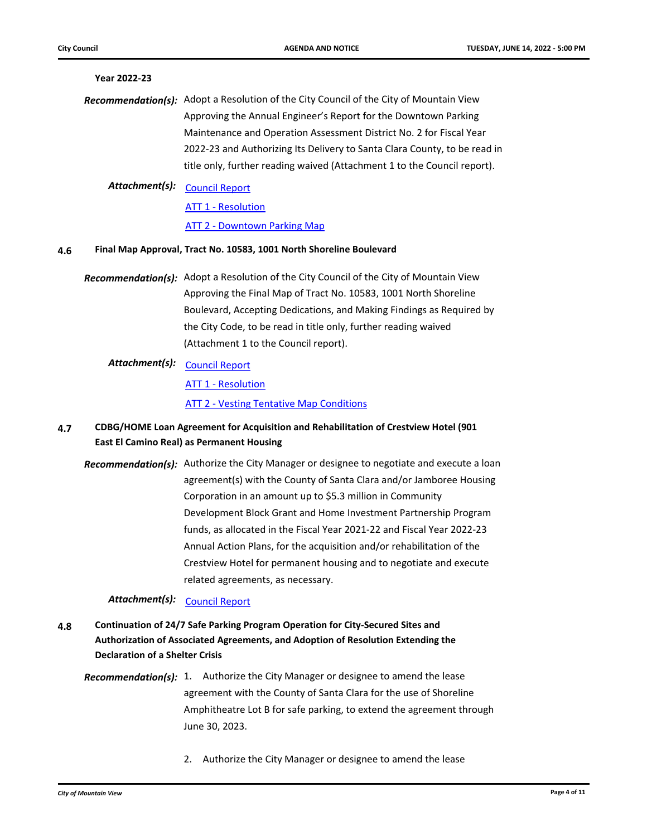## **[Year 2022-23](http://mountainview.legistar.com/gateway.aspx?m=l&id=6246)** Recommendation(s): Adopt a Resolution of the City Council of the City of Mountain View Approving the Annual Engineer's Report for the Downtown Parking Maintenance and Operation Assessment District No. 2 for Fiscal Year 2022-23 and Authorizing Its Delivery to Santa Clara County, to be read in title only, further reading waived (Attachment 1 to the Council report). Attachment(s): <u>[Council Report](http://mountainview.legistar.com/gateway.aspx?M=F&ID=85b9b7cf-efbb-4bce-b397-a409ada675e8.pdf)</u>

**[ATT 1 - Resolution](http://mountainview.legistar.com/gateway.aspx?M=F&ID=96f81c2b-efd3-46e7-b702-91ce8737d103.pdf)** 

### **[ATT 2 - Downtown Parking Map](http://mountainview.legistar.com/gateway.aspx?M=F&ID=ffb53fdb-e176-4ede-a95c-e0ac7c30a820.pdf)**

#### **4.6 [Final Map Approval, Tract No. 10583, 1001 North Shoreline Boulevard](http://mountainview.legistar.com/gateway.aspx?m=l&id=6453)**

Recommendation(s): Adopt a Resolution of the City Council of the City of Mountain View Approving the Final Map of Tract No. 10583, 1001 North Shoreline Boulevard, Accepting Dedications, and Making Findings as Required by the City Code, to be read in title only, further reading waived (Attachment 1 to the Council report).

## Attachment(s): <u>[Council Report](http://mountainview.legistar.com/gateway.aspx?M=F&ID=f5b8e620-ece5-4d21-ae26-934bdf0722a9.pdf)</u>

[ATT 1 - Resolution](http://mountainview.legistar.com/gateway.aspx?M=F&ID=f41b7eae-f441-4d54-9eba-db8624d50331.pdf)

[ATT 2 - Vesting Tentative Map Conditions](http://mountainview.legistar.com/gateway.aspx?M=F&ID=44e37f03-77bc-408c-a12d-7800637a1cd4.pdf)

- **4.7 [CDBG/HOME Loan Agreement for Acquisition and Rehabilitation of Crestview Hotel \(901](http://mountainview.legistar.com/gateway.aspx?m=l&id=6214)  East El Camino Real) as Permanent Housing** 
	- Recommendation(s): Authorize the City Manager or designee to negotiate and execute a loan agreement(s) with the County of Santa Clara and/or Jamboree Housing Corporation in an amount up to \$5.3 million in Community Development Block Grant and Home Investment Partnership Program funds, as allocated in the Fiscal Year 2021-22 and Fiscal Year 2022-23 Annual Action Plans, for the acquisition and/or rehabilitation of the Crestview Hotel for permanent housing and to negotiate and execute related agreements, as necessary.

Attachment(s): [Council Report](http://mountainview.legistar.com/gateway.aspx?M=F&ID=7c9c743a-e8a4-48a0-8e73-e6c6c2228a69.pdf)

- **4.8 Continuation of 24/7 Safe Parking Program Operation for City-Secured Sites and [Authorization of Associated Agreements, and Adoption of Resolution Extending the](http://mountainview.legistar.com/gateway.aspx?m=l&id=6460)  Declaration of a Shelter Crisis**
	- Recommendation(s): 1. Authorize the City Manager or designee to amend the lease agreement with the County of Santa Clara for the use of Shoreline Amphitheatre Lot B for safe parking, to extend the agreement through June 30, 2023.
		- 2. Authorize the City Manager or designee to amend the lease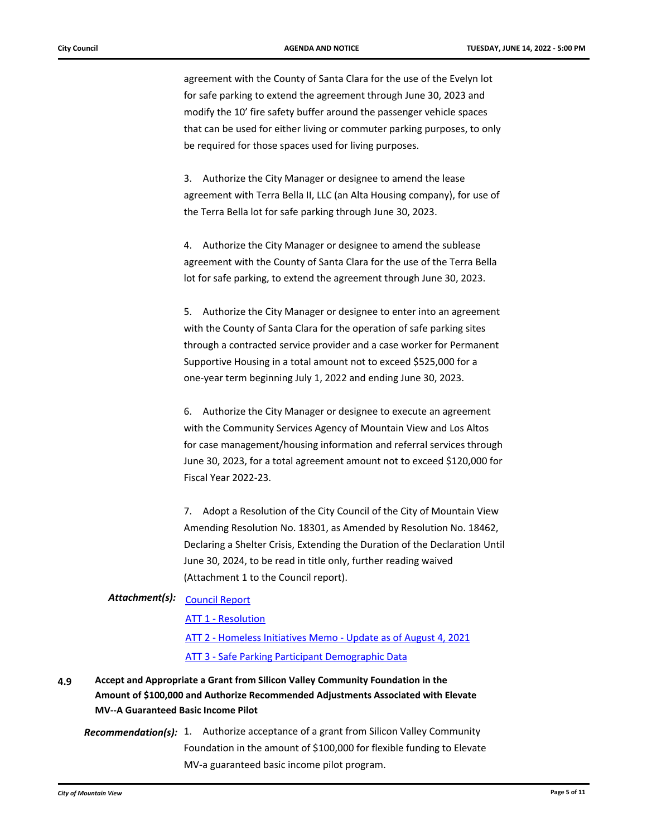agreement with the County of Santa Clara for the use of the Evelyn lot for safe parking to extend the agreement through June 30, 2023 and modify the 10' fire safety buffer around the passenger vehicle spaces that can be used for either living or commuter parking purposes, to only be required for those spaces used for living purposes.

3. Authorize the City Manager or designee to amend the lease agreement with Terra Bella II, LLC (an Alta Housing company), for use of the Terra Bella lot for safe parking through June 30, 2023.

4. Authorize the City Manager or designee to amend the sublease agreement with the County of Santa Clara for the use of the Terra Bella lot for safe parking, to extend the agreement through June 30, 2023.

5. Authorize the City Manager or designee to enter into an agreement with the County of Santa Clara for the operation of safe parking sites through a contracted service provider and a case worker for Permanent Supportive Housing in a total amount not to exceed \$525,000 for a one-year term beginning July 1, 2022 and ending June 30, 2023.

6. Authorize the City Manager or designee to execute an agreement with the Community Services Agency of Mountain View and Los Altos for case management/housing information and referral services through June 30, 2023, for a total agreement amount not to exceed \$120,000 for Fiscal Year 2022-23.

7. Adopt a Resolution of the City Council of the City of Mountain View Amending Resolution No. 18301, as Amended by Resolution No. 18462, Declaring a Shelter Crisis, Extending the Duration of the Declaration Until June 30, 2024, to be read in title only, further reading waived (Attachment 1 to the Council report).

## Attachment(s): <u>[Council Report](http://mountainview.legistar.com/gateway.aspx?M=F&ID=13137d2e-239e-49ec-967e-880438a8443f.pdf)</u>

[ATT 1 - Resolution](http://mountainview.legistar.com/gateway.aspx?M=F&ID=97a1da37-20ac-4acc-b65c-2bf4fd464d2b.pdf)

[ATT 2 - Homeless Initiatives Memo - Update as of August 4, 2021](http://mountainview.legistar.com/gateway.aspx?M=F&ID=050e1fc9-90a1-42e8-8918-69ff78352217.pdf) [ATT 3 - Safe Parking Participant Demographic Data](http://mountainview.legistar.com/gateway.aspx?M=F&ID=20e1d2d7-3c2b-4f44-9d2c-70705810c3b7.pdf)

**4.9 Accept and Appropriate a Grant from Silicon Valley Community Foundation in the [Amount of \\$100,000 and Authorize Recommended Adjustments Associated with Elevate](http://mountainview.legistar.com/gateway.aspx?m=l&id=6461)  MV--A Guaranteed Basic Income Pilot**

Recommendation(s): 1. Authorize acceptance of a grant from Silicon Valley Community Foundation in the amount of \$100,000 for flexible funding to Elevate MV-a guaranteed basic income pilot program.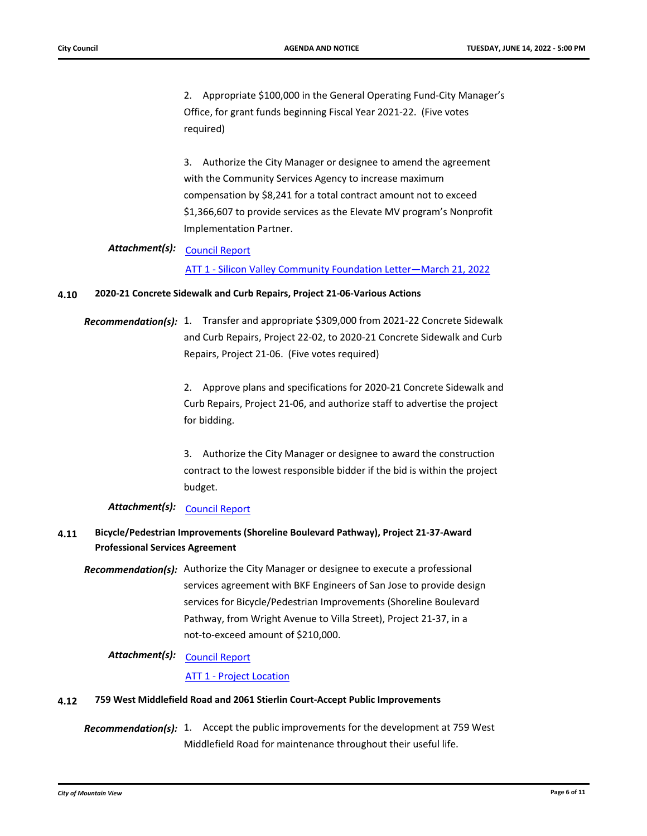2. Appropriate \$100,000 in the General Operating Fund-City Manager's Office, for grant funds beginning Fiscal Year 2021-22. (Five votes required)

3. Authorize the City Manager or designee to amend the agreement with the Community Services Agency to increase maximum compensation by \$8,241 for a total contract amount not to exceed \$1,366,607 to provide services as the Elevate MV program's Nonprofit Implementation Partner.

## Attachment(s): <u>[Council Report](http://mountainview.legistar.com/gateway.aspx?M=F&ID=9d4c1cd2-4a60-43d9-baa5-71832361fbcb.pdf)</u>

[ATT 1 - Silicon Valley Community Foundation Letter—March 21, 2022](http://mountainview.legistar.com/gateway.aspx?M=F&ID=efbd2219-ce8a-49bb-b31c-2abbd2ed04c3.pdf)

#### **4.10 [2020-21 Concrete Sidewalk and Curb Repairs, Project 21-06-Various Actions](http://mountainview.legistar.com/gateway.aspx?m=l&id=6497)**

Recommendation(s): 1. Transfer and appropriate \$309,000 from 2021-22 Concrete Sidewalk and Curb Repairs, Project 22-02, to 2020-21 Concrete Sidewalk and Curb Repairs, Project 21-06. (Five votes required)

> 2. Approve plans and specifications for 2020-21 Concrete Sidewalk and Curb Repairs, Project 21-06, and authorize staff to advertise the project for bidding.

3. Authorize the City Manager or designee to award the construction contract to the lowest responsible bidder if the bid is within the project budget.

## Attachment(s): [Council Report](http://mountainview.legistar.com/gateway.aspx?M=F&ID=6131a309-a3eb-4c0e-a362-f66b11e51243.pdf)

## **4.11 [Bicycle/Pedestrian Improvements \(Shoreline Boulevard Pathway\), Project 21-37-Award](http://mountainview.legistar.com/gateway.aspx?m=l&id=6499)  Professional Services Agreement**

**Recommendation(s):** Authorize the City Manager or designee to execute a professional services agreement with BKF Engineers of San Jose to provide design services for Bicycle/Pedestrian Improvements (Shoreline Boulevard Pathway, from Wright Avenue to Villa Street), Project 21-37, in a not-to-exceed amount of \$210,000.

## Attachment(s): <u>[Council Report](http://mountainview.legistar.com/gateway.aspx?M=F&ID=e765c529-fb37-40d2-b641-8e88d73c6b15.pdf)</u>

#### [ATT 1 - Project Location](http://mountainview.legistar.com/gateway.aspx?M=F&ID=0fa41759-464d-4c56-8ddf-1989d082e245.pdf)

#### **4.12 [759 West Middlefield Road and 2061 Stierlin Court-Accept Public Improvements](http://mountainview.legistar.com/gateway.aspx?m=l&id=6515)**

Recommendation(s): 1. Accept the public improvements for the development at 759 West Middlefield Road for maintenance throughout their useful life.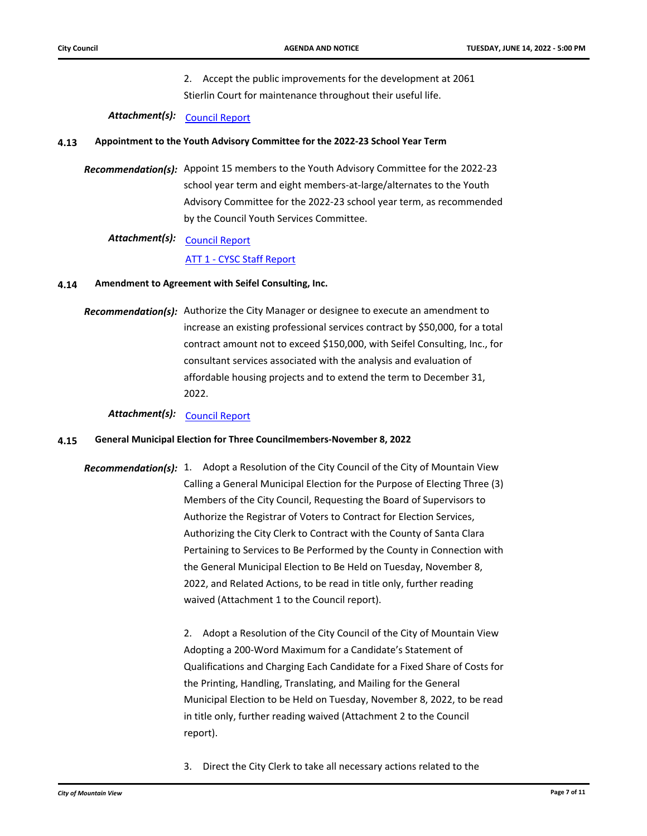2. Accept the public improvements for the development at 2061 Stierlin Court for maintenance throughout their useful life.

## Attachment(s): [Council Report](http://mountainview.legistar.com/gateway.aspx?M=F&ID=c6fc0271-4dbc-4724-ae9f-ccb15ac2a298.pdf)

#### **4.13 [Appointment to the Youth Advisory Committee for the 2022-23 School Year Term](http://mountainview.legistar.com/gateway.aspx?m=l&id=6527)**

Recommendation(s): Appoint 15 members to the Youth Advisory Committee for the 2022-23 school year term and eight members-at-large/alternates to the Youth Advisory Committee for the 2022-23 school year term, as recommended by the Council Youth Services Committee.

## Attachment(s): <u>[Council Report](http://mountainview.legistar.com/gateway.aspx?M=F&ID=b23ae7de-201d-4b0d-8caf-2e18cc82cb52.pdf)</u>

#### [ATT 1 - CYSC Staff Report](http://mountainview.legistar.com/gateway.aspx?M=F&ID=e22a2999-181a-4ae6-964a-f164e20d3eb0.pdf)

#### **4.14 [Amendment to Agreement with Seifel Consulting, Inc.](http://mountainview.legistar.com/gateway.aspx?m=l&id=6550)**

Recommendation(s): Authorize the City Manager or designee to execute an amendment to increase an existing professional services contract by \$50,000, for a total contract amount not to exceed \$150,000, with Seifel Consulting, Inc., for consultant services associated with the analysis and evaluation of affordable housing projects and to extend the term to December 31, 2022.

## Attachment(s): [Council Report](http://mountainview.legistar.com/gateway.aspx?M=F&ID=05e38c7a-19da-4c91-bcfc-bc853c525e40.pdf)

#### **4.15 [General Municipal Election for Three Councilmembers-November 8, 2022](http://mountainview.legistar.com/gateway.aspx?m=l&id=6554)**

Recommendation(s): 1. Adopt a Resolution of the City Council of the City of Mountain View Calling a General Municipal Election for the Purpose of Electing Three (3) Members of the City Council, Requesting the Board of Supervisors to Authorize the Registrar of Voters to Contract for Election Services, Authorizing the City Clerk to Contract with the County of Santa Clara Pertaining to Services to Be Performed by the County in Connection with the General Municipal Election to Be Held on Tuesday, November 8, 2022, and Related Actions, to be read in title only, further reading waived (Attachment 1 to the Council report).

> 2. Adopt a Resolution of the City Council of the City of Mountain View Adopting a 200-Word Maximum for a Candidate's Statement of Qualifications and Charging Each Candidate for a Fixed Share of Costs for the Printing, Handling, Translating, and Mailing for the General Municipal Election to be Held on Tuesday, November 8, 2022, to be read in title only, further reading waived (Attachment 2 to the Council report).

3. Direct the City Clerk to take all necessary actions related to the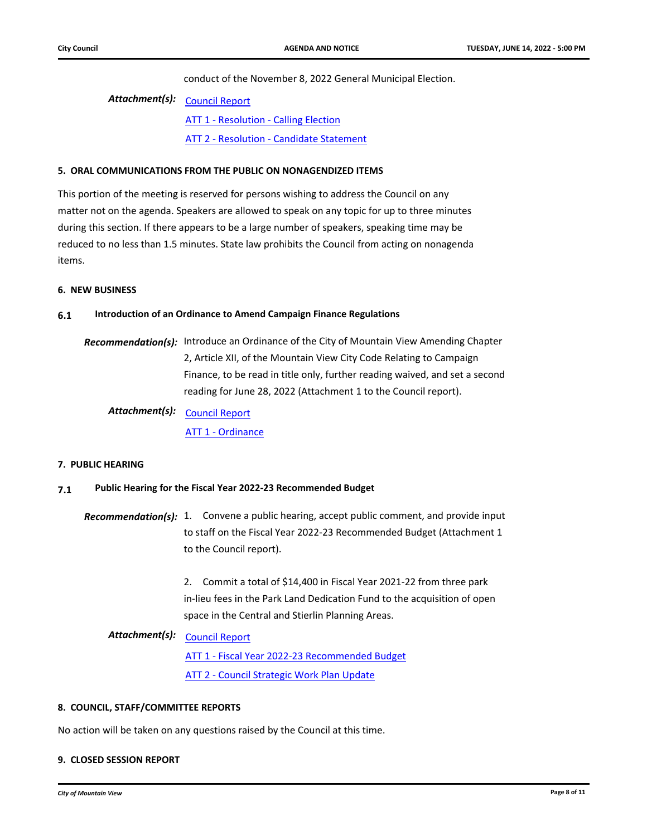conduct of the November 8, 2022 General Municipal Election.

## Attachment(s): <u>[Council Report](http://mountainview.legistar.com/gateway.aspx?M=F&ID=0fcc6a0f-ce3f-40ad-801a-1c8e24c4aa90.pdf)</u> **[ATT 1 - Resolution - Calling Election](http://mountainview.legistar.com/gateway.aspx?M=F&ID=6593a1fe-8a1a-436a-ac3a-4ba56425441e.pdf)** [ATT 2 - Resolution - Candidate Statement](http://mountainview.legistar.com/gateway.aspx?M=F&ID=91de9810-e344-4d07-814e-afde0230294f.pdf)

#### **5. ORAL COMMUNICATIONS FROM THE PUBLIC ON NONAGENDIZED ITEMS**

This portion of the meeting is reserved for persons wishing to address the Council on any matter not on the agenda. Speakers are allowed to speak on any topic for up to three minutes during this section. If there appears to be a large number of speakers, speaking time may be reduced to no less than 1.5 minutes. State law prohibits the Council from acting on nonagenda items.

#### **6. NEW BUSINESS**

#### **6.1 [Introduction of an Ordinance to Amend Campaign Finance Regulations](http://mountainview.legistar.com/gateway.aspx?m=l&id=6463)**

Recommendation(s): Introduce an Ordinance of the City of Mountain View Amending Chapter 2, Article XII, of the Mountain View City Code Relating to Campaign Finance, to be read in title only, further reading waived, and set a second reading for June 28, 2022 (Attachment 1 to the Council report).

Attachment(s): <u>[Council Report](http://mountainview.legistar.com/gateway.aspx?M=F&ID=aef9d314-807b-4f99-8d31-0544bb6548b9.pdf)</u> [ATT 1 - Ordinance](http://mountainview.legistar.com/gateway.aspx?M=F&ID=694212d7-c2a6-4b89-94fa-b8f55c7cb0fa.pdf)

#### **7. PUBLIC HEARING**

#### **7.1 [Public Hearing for the Fiscal Year 2022-23 Recommended Budget](http://mountainview.legistar.com/gateway.aspx?m=l&id=6548)**

Recommendation(s): 1. Convene a public hearing, accept public comment, and provide input to staff on the Fiscal Year 2022-23 Recommended Budget (Attachment 1 to the Council report).

> 2. Commit a total of \$14,400 in Fiscal Year 2021-22 from three park in-lieu fees in the Park Land Dedication Fund to the acquisition of open space in the Central and Stierlin Planning Areas.

## Attachment(s): <u>[Council Report](http://mountainview.legistar.com/gateway.aspx?M=F&ID=1ad3d457-ec0a-43c9-b36d-5729139ae571.pdf)</u>

[ATT 1 - Fiscal Year 2022-23 Recommended Budget](http://mountainview.legistar.com/gateway.aspx?M=F&ID=fb21c491-7b76-4070-b9b6-f93e3cf83462.pdf) [ATT 2 - Council Strategic Work Plan Update](http://mountainview.legistar.com/gateway.aspx?M=F&ID=98ea9b92-d09b-4fdd-ae5d-65cb83562909.pdf)

#### **8. COUNCIL, STAFF/COMMITTEE REPORTS**

No action will be taken on any questions raised by the Council at this time.

## **9. CLOSED SESSION REPORT**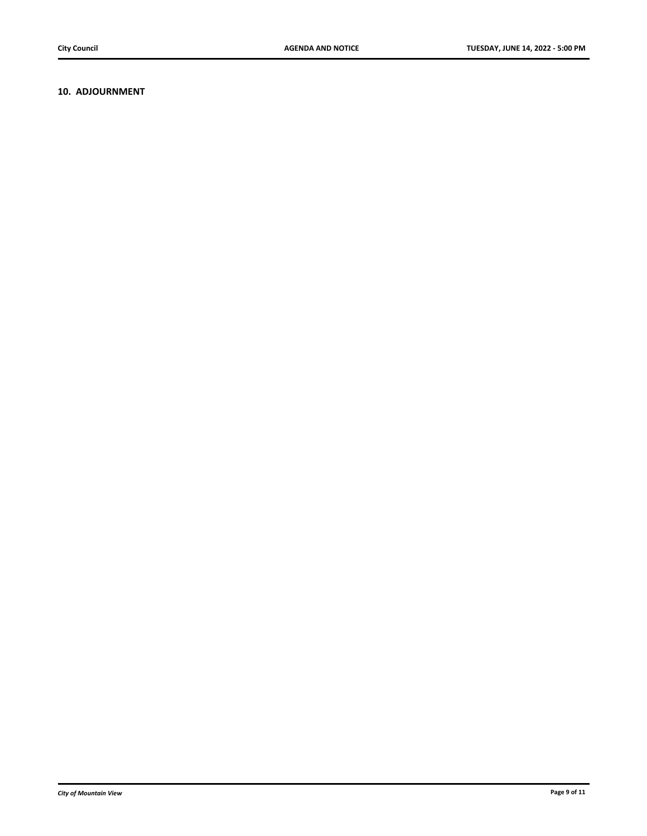## **10. ADJOURNMENT**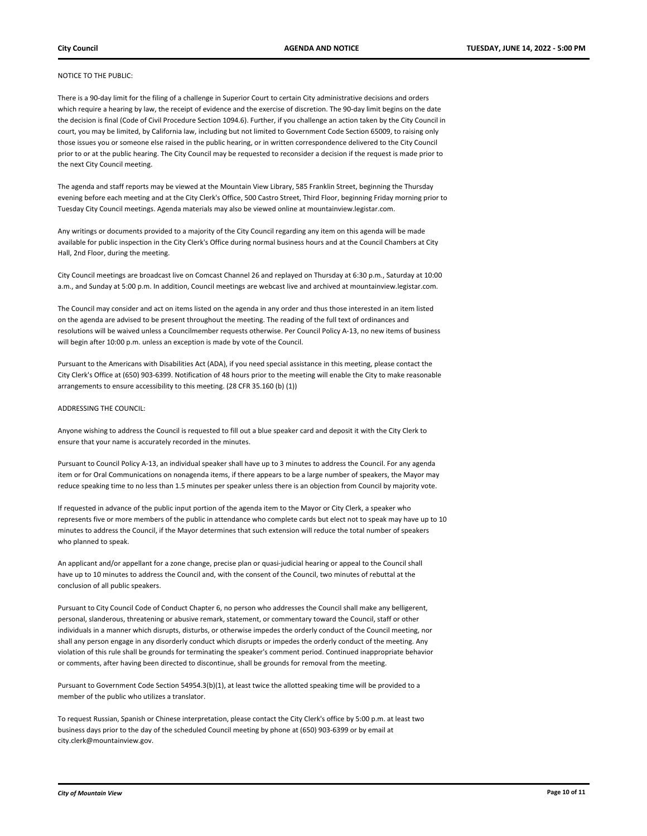#### NOTICE TO THE PUBLIC:

There is a 90-day limit for the filing of a challenge in Superior Court to certain City administrative decisions and orders which require a hearing by law, the receipt of evidence and the exercise of discretion. The 90-day limit begins on the date the decision is final (Code of Civil Procedure Section 1094.6). Further, if you challenge an action taken by the City Council in court, you may be limited, by California law, including but not limited to Government Code Section 65009, to raising only those issues you or someone else raised in the public hearing, or in written correspondence delivered to the City Council prior to or at the public hearing. The City Council may be requested to reconsider a decision if the request is made prior to the next City Council meeting.

The agenda and staff reports may be viewed at the Mountain View Library, 585 Franklin Street, beginning the Thursday evening before each meeting and at the City Clerk's Office, 500 Castro Street, Third Floor, beginning Friday morning prior to Tuesday City Council meetings. Agenda materials may also be viewed online at mountainview.legistar.com.

Any writings or documents provided to a majority of the City Council regarding any item on this agenda will be made available for public inspection in the City Clerk's Office during normal business hours and at the Council Chambers at City Hall, 2nd Floor, during the meeting.

City Council meetings are broadcast live on Comcast Channel 26 and replayed on Thursday at 6:30 p.m., Saturday at 10:00 a.m., and Sunday at 5:00 p.m. In addition, Council meetings are webcast live and archived at mountainview.legistar.com.

The Council may consider and act on items listed on the agenda in any order and thus those interested in an item listed on the agenda are advised to be present throughout the meeting. The reading of the full text of ordinances and resolutions will be waived unless a Councilmember requests otherwise. Per Council Policy A-13, no new items of business will begin after 10:00 p.m. unless an exception is made by vote of the Council.

Pursuant to the Americans with Disabilities Act (ADA), if you need special assistance in this meeting, please contact the City Clerk's Office at (650) 903-6399. Notification of 48 hours prior to the meeting will enable the City to make reasonable arrangements to ensure accessibility to this meeting. (28 CFR 35.160 (b) (1))

#### ADDRESSING THE COUNCIL:

Anyone wishing to address the Council is requested to fill out a blue speaker card and deposit it with the City Clerk to ensure that your name is accurately recorded in the minutes.

Pursuant to Council Policy A-13, an individual speaker shall have up to 3 minutes to address the Council. For any agenda item or for Oral Communications on nonagenda items, if there appears to be a large number of speakers, the Mayor may reduce speaking time to no less than 1.5 minutes per speaker unless there is an objection from Council by majority vote.

If requested in advance of the public input portion of the agenda item to the Mayor or City Clerk, a speaker who represents five or more members of the public in attendance who complete cards but elect not to speak may have up to 10 minutes to address the Council, if the Mayor determines that such extension will reduce the total number of speakers who planned to speak.

An applicant and/or appellant for a zone change, precise plan or quasi-judicial hearing or appeal to the Council shall have up to 10 minutes to address the Council and, with the consent of the Council, two minutes of rebuttal at the conclusion of all public speakers.

Pursuant to City Council Code of Conduct Chapter 6, no person who addresses the Council shall make any belligerent, personal, slanderous, threatening or abusive remark, statement, or commentary toward the Council, staff or other individuals in a manner which disrupts, disturbs, or otherwise impedes the orderly conduct of the Council meeting, nor shall any person engage in any disorderly conduct which disrupts or impedes the orderly conduct of the meeting. Any violation of this rule shall be grounds for terminating the speaker's comment period. Continued inappropriate behavior or comments, after having been directed to discontinue, shall be grounds for removal from the meeting.

Pursuant to Government Code Section 54954.3(b)(1), at least twice the allotted speaking time will be provided to a member of the public who utilizes a translator.

To request Russian, Spanish or Chinese interpretation, please contact the City Clerk's office by 5:00 p.m. at least two business days prior to the day of the scheduled Council meeting by phone at (650) 903-6399 or by email at city.clerk@mountainview.gov.